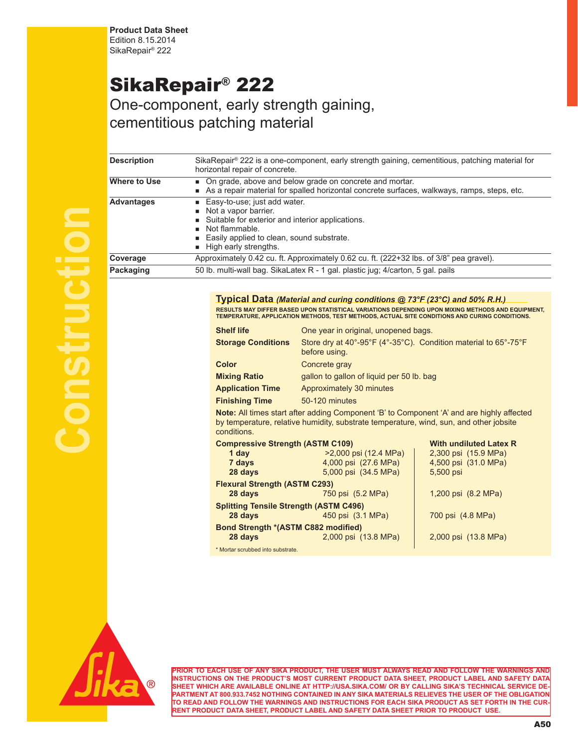**Product Data Sheet** Edition 8.15.2014 SikaRepair® 222

## SikaRepair® 222

One-component, early strength gaining, cementitious patching material

| <b>Description</b> | SikaRepair® 222 is a one-component, early strength gaining, cementitious, patching material for<br>horizontal repair of concrete.<br>• On grade, above and below grade on concrete and mortar.<br>As a repair material for spalled horizontal concrete surfaces, walkways, ramps, steps, etc. |  |  |  |  |
|--------------------|-----------------------------------------------------------------------------------------------------------------------------------------------------------------------------------------------------------------------------------------------------------------------------------------------|--|--|--|--|
| Where to Use       |                                                                                                                                                                                                                                                                                               |  |  |  |  |
| <b>Advantages</b>  | ■ Easy-to-use; just add water.<br>Not a vapor barrier.<br>■ Suitable for exterior and interior applications.<br>Not flammable.<br>■ Easily applied to clean, sound substrate.<br>High early strengths.                                                                                        |  |  |  |  |
| Coverage           | Approximately 0.42 cu. ft. Approximately 0.62 cu. ft. (222+32 lbs. of 3/8" pea gravel).                                                                                                                                                                                                       |  |  |  |  |
| Packaging          | 50 lb. multi-wall bag. SikaLatex R - 1 gal. plastic jug; 4/carton, 5 gal. pails                                                                                                                                                                                                               |  |  |  |  |

**Typical Data** *(Material and curing conditions @ 73°F (23°C) and 50% R.H.)* **RESULTS MAY DIFFER BASED UPON STATISTICAL VARIATIONS DEPENDING UPON MIXING METHODS AND EQUIPMENT, TEMPERATURE, APPLICATION METHODS, TEST METHODS, ACTUAL SITE CONDITIONS AND CURING CONDITIONS.**

| <b>Shelf life</b>         | One year in original, unopened bags.                                                                                                                                                                                              |
|---------------------------|-----------------------------------------------------------------------------------------------------------------------------------------------------------------------------------------------------------------------------------|
| <b>Storage Conditions</b> | Store dry at 40°-95°F (4°-35°C). Condition material to 65°-75°F<br>before using.                                                                                                                                                  |
| <b>Color</b>              | Concrete gray                                                                                                                                                                                                                     |
| <b>Mixing Ratio</b>       | gallon to gallon of liquid per 50 lb. bag                                                                                                                                                                                         |
| <b>Application Time</b>   | Approximately 30 minutes                                                                                                                                                                                                          |
| <b>Finishing Time</b>     | 50-120 minutes                                                                                                                                                                                                                    |
|                           | $\mathbf{M}$ and a result of the control of the set of the control of the control of the control of the control of the control of the control of the control of the control of the control of the control of the control of the c |

**Note:** All times start after adding Component 'B' to Component 'A' and are highly affected by temperature, relative humidity, substrate temperature, wind, sun, and other jobsite conditions.

| <b>Compressive Strength (ASTM C109)</b>       | <b>With undiluted Latex R</b> |                      |
|-----------------------------------------------|-------------------------------|----------------------|
| 1 day                                         | >2,000 psi (12.4 MPa)         | 2,300 psi (15.9 MPa) |
| 7 days                                        | 4,000 psi (27.6 MPa)          | 4,500 psi (31.0 MPa) |
| 28 days                                       | 5,000 psi (34.5 MPa)          | 5,500 psi            |
| <b>Flexural Strength (ASTM C293)</b>          |                               |                      |
| 28 days                                       | 750 psi (5.2 MPa)             | 1,200 psi (8.2 MPa)  |
| <b>Splitting Tensile Strength (ASTM C496)</b> |                               |                      |
| 28 days                                       | 450 psi (3.1 MPa)             | 700 psi (4.8 MPa)    |
| Bond Strength *(ASTM C882 modified)           |                               |                      |
| 28 days                                       | 2,000 psi (13.8 MPa)          | 2,000 psi (13.8 MPa) |
| * Mortar scrubbed into substrate.             |                               |                      |



**PRIOR TO EACH USE OF ANY SIKA PRODUCT, THE USER MUST ALWAYS READ AND FOLLOW THE WARNINGS AND INSTRUCTIONS ON THE PRODUCT'S MOST CURRENT PRODUCT DATA SHEET, PRODUCT LABEL AND SAFETY DATA SHEET WHICH ARE AVAILABLE ONLINE AT HTTP://USA.SIKA.COM/ OR BY CALLING SIKA'S TECHNICAL SERVICE DE-PARTMENT AT 800.933.7452 NOTHING CONTAINED IN ANY SIKA MATERIALS RELIEVES THE USER OF THE OBLIGATION TO READ AND FOLLOW THE WARNINGS AND INSTRUCTIONS FOR EACH SIKA PRODUCT AS SET FORTH IN THE CUR-RENT PRODUCT DATA SHEET, PRODUCT LABEL AND SAFETY DATA SHEET PRIOR TO PRODUCT USE.**